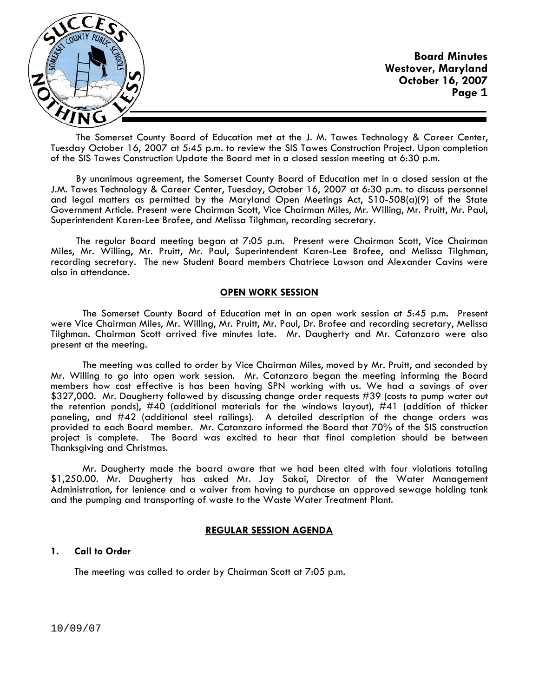

The Somerset County Board of Education met at the J. M. Tawes Technology & Career Center, Tuesday October 16, 2007 at 5:45 p.m. to review the SIS Tawes Construction Project. Upon completion of the SIS Tawes Construction Update the Board met in a closed session meeting at 6:30 p.m.

By unanimous agreement, the Somerset County Board of Education met in a closed session at the J.M. Tawes Technology & Career Center, Tuesday, October 16, 2007 at 6:30 p.m. to discuss personnel and legal matters as permitted by the Maryland Open Meetings Act, S10-508(a)(9) of the State Government Article. Present were Chairman Scott, Vice Chairman Miles, Mr. Willing, Mr. Pruitt, Mr. Paul, Superintendent Karen-Lee Brofee, and Melissa Tilghman, recording secretary.

The regular Board meeting began at 7:05 p.m. Present were Chairman Scott, Vice Chairman Miles, Mr. Willing, Mr. Pruitt, Mr. Paul, Superintendent Karen-Lee Brofee, and Melissa Tilghman, recording secretary. The new Student Board members Chatriece Lawson and Alexander Cavins were also in attendance.

# **OPEN WORK SESSION**

 The Somerset County Board of Education met in an open work session at 5:45 p.m**.** Present were Vice Chairman Miles, Mr. Willing, Mr. Pruitt, Mr. Paul, Dr. Brofee and recording secretary, Melissa Tilghman. Chairman Scott arrived five minutes late. Mr. Daugherty and Mr. Catanzaro were also present at the meeting.

 The meeting was called to order by Vice Chairman Miles, moved by Mr. Pruitt, and seconded by Mr. Willing to go into open work session. Mr. Catanzaro began the meeting informing the Board members how cost effective is has been having SPN working with us. We had a savings of over \$327,000. Mr. Daugherty followed by discussing change order requests #39 (costs to pump water out the retention ponds), #40 (additional materials for the windows layout), #41 (addition of thicker paneling, and #42 (additional steel railings). A detailed description of the change orders was provided to each Board member. Mr. Catanzaro informed the Board that 70% of the SIS construction project is complete. The Board was excited to hear that final completion should be between Thanksgiving and Christmas.

 Mr. Daugherty made the board aware that we had been cited with four violations totaling \$1,250.00. Mr. Daugherty has asked Mr. Jay Sakai, Director of the Water Management Administration, for lenience and a waiver from having to purchase an approved sewage holding tank and the pumping and transporting of waste to the Waste Water Treatment Plant.

# **REGULAR SESSION AGENDA**

### **1. Call to Order**

The meeting was called to order by Chairman Scott at 7:05 p.m.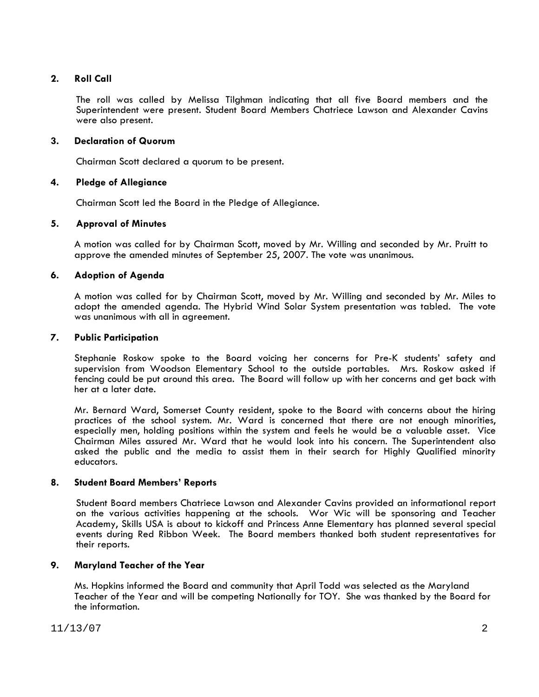# **2. Roll Call**

The roll was called by Melissa Tilghman indicating that all five Board members and the Superintendent were present. Student Board Members Chatriece Lawson and Alexander Cavins were also present.

# **3. Declaration of Quorum**

Chairman Scott declared a quorum to be present.

## **4. Pledge of Allegiance**

Chairman Scott led the Board in the Pledge of Allegiance.

## **5. Approval of Minutes**

 A motion was called for by Chairman Scott, moved by Mr. Willing and seconded by Mr. Pruitt to approve the amended minutes of September 25, 2007. The vote was unanimous.

## **6. Adoption of Agenda**

 A motion was called for by Chairman Scott, moved by Mr. Willing and seconded by Mr. Miles to adopt the amended agenda. The Hybrid Wind Solar System presentation was tabled. The vote was unanimous with all in agreement.

## **7. Public Participation**

Stephanie Roskow spoke to the Board voicing her concerns for Pre-K students' safety and supervision from Woodson Elementary School to the outside portables. Mrs. Roskow asked if fencing could be put around this area. The Board will follow up with her concerns and get back with her at a later date.

Mr. Bernard Ward, Somerset County resident, spoke to the Board with concerns about the hiring practices of the school system. Mr. Ward is concerned that there are not enough minorities, especially men, holding positions within the system and feels he would be a valuable asset. Vice Chairman Miles assured Mr. Ward that he would look into his concern. The Superintendent also asked the public and the media to assist them in their search for Highly Qualified minority educators.

### **8. Student Board Members' Reports**

 Student Board members Chatriece Lawson and Alexander Cavins provided an informational report on the various activities happening at the schools. Wor Wic will be sponsoring and Teacher Academy, Skills USA is about to kickoff and Princess Anne Elementary has planned several special events during Red Ribbon Week. The Board members thanked both student representatives for their reports.

# **9. Maryland Teacher of the Year**

Ms. Hopkins informed the Board and community that April Todd was selected as the Maryland Teacher of the Year and will be competing Nationally for TOY. She was thanked by the Board for the information.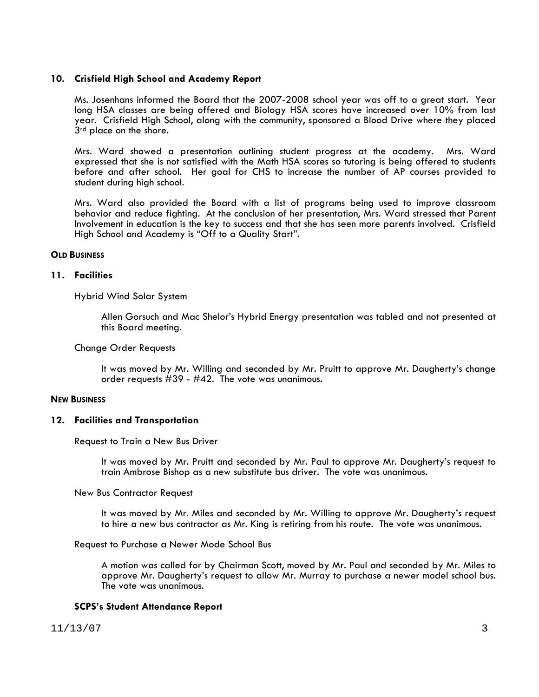## **10. Crisfield High School and Academy Report**

Ms. Josenhans informed the Board that the 2007-2008 school year was off to a great start. Year long HSA classes are being offered and Biology HSA scores have increased over 10% from last year. Crisfield High School, along with the community, sponsored a Blood Drive where they placed 3<sup>rd</sup> place on the shore.

Mrs. Ward showed a presentation outlining student progress at the academy. Mrs. Ward expressed that she is not satisfied with the Math HSA scores so tutoring is being offered to students before and after school. Her goal for CHS to increase the number of AP courses provided to student during high school.

Mrs. Ward also provided the Board with a list of programs being used to improve classroom behavior and reduce fighting. At the conclusion of her presentation, Mrs. Ward stressed that Parent Involvement in education is the key to success and that she has seen more parents involved. Crisfield High School and Academy is "Off to a Quality Start".

## **OLD BUSINESS**

# **11. Facilities**

Hybrid Wind Solar System

Allen Gorsuch and Mac Shelor's Hybrid Energy presentation was tabled and not presented at this Board meeting.

## Change Order Requests

It was moved by Mr. Willing and seconded by Mr. Pruitt to approve Mr. Daugherty's change order requests #39 - #42. The vote was unanimous.

### **NEW BUSINESS**

# **12. Facilities and Transportation**

Request to Train a New Bus Driver

It was moved by Mr. Pruitt and seconded by Mr. Paul to approve Mr. Daugherty's request to train Ambrose Bishop as a new substitute bus driver. The vote was unanimous.

### New Bus Contractor Request

It was moved by Mr. Miles and seconded by Mr. Willing to approve Mr. Daugherty's request to hire a new bus contractor as Mr. King is retiring from his route. The vote was unanimous.

### Request to Purchase a Newer Mode School Bus

A motion was called for by Chairman Scott, moved by Mr. Paul and seconded by Mr. Miles to approve Mr. Daugherty's request to allow Mr. Murray to purchase a newer model school bus. The vote was unanimous.

# **SCPS's Student Attendance Report**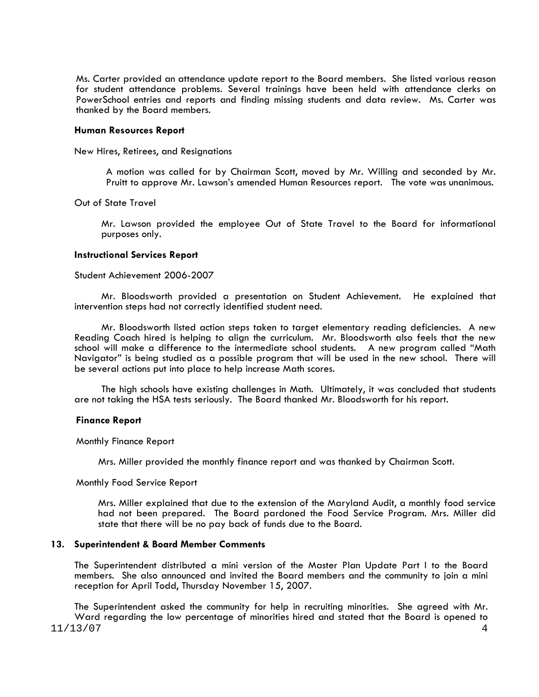Ms. Carter provided an attendance update report to the Board members. She listed various reason for student attendance problems. Several trainings have been held with attendance clerks on PowerSchool entries and reports and finding missing students and data review. Ms. Carter was thanked by the Board members.

#### **Human Resources Report**

New Hires, Retirees, and Resignations

A motion was called for by Chairman Scott, moved by Mr. Willing and seconded by Mr. Pruitt to approve Mr. Lawson's amended Human Resources report. The vote was unanimous.

Out of State Travel

Mr. Lawson provided the employee Out of State Travel to the Board for informational purposes only.

#### **Instructional Services Report**

#### Student Achievement 2006-2007

 Mr. Bloodsworth provided a presentation on Student Achievement. He explained that intervention steps had not correctly identified student need.

 Mr. Bloodsworth listed action steps taken to target elementary reading deficiencies. A new Reading Coach hired is helping to align the curriculum. Mr. Bloodsworth also feels that the new school will make a difference to the intermediate school students. A new program called "Math Navigator" is being studied as a possible program that will be used in the new school. There will be several actions put into place to help increase Math scores.

 The high schools have existing challenges in Math. Ultimately, it was concluded that students are not taking the HSA tests seriously. The Board thanked Mr. Bloodsworth for his report.

#### **Finance Report**

Monthly Finance Report

Mrs. Miller provided the monthly finance report and was thanked by Chairman Scott.

#### Monthly Food Service Report

Mrs. Miller explained that due to the extension of the Maryland Audit, a monthly food service had not been prepared. The Board pardoned the Food Service Program. Mrs. Miller did state that there will be no pay back of funds due to the Board.

### **13. Superintendent & Board Member Comments**

The Superintendent distributed a mini version of the Master Plan Update Part I to the Board members. She also announced and invited the Board members and the community to join a mini reception for April Todd, Thursday November 15, 2007.

11/13/07 4 The Superintendent asked the community for help in recruiting minorities. She agreed with Mr. Ward regarding the low percentage of minorities hired and stated that the Board is opened to